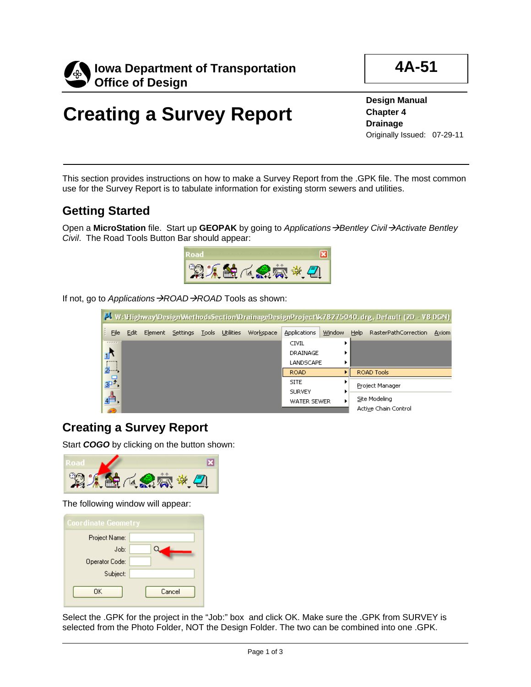

**4A-51**

## **Creating a Survey Report**

**Design Manual Chapter 4 Drainage** Originally Issued: 07-29-11

This section provides instructions on how to make a Survey Report from the .GPK file. The most common use for the Survey Report is to tabulate information for existing storm sewers and utilities.

## **Getting Started**

Open a **MicroStation** file. Start up **GEOPAK** by going to *ApplicationsBentley CivilActivate Bentley Civil*. The Road Tools Button Bar should appear:



If not, go to *Applications*  $\rightarrow$  *ROAD*  $\rightarrow$  *ROAD* Tools as shown:

| V: \Highway\Design\MethodsSection\DrainageDesignProject\k78275040.drg, Default (2D - V8 DGN) |      |          |                          |  |  |           |               |        |            |                      |       |
|----------------------------------------------------------------------------------------------|------|----------|--------------------------|--|--|-----------|---------------|--------|------------|----------------------|-------|
| File                                                                                         | Edit | Element  | Settings Tools Utilities |  |  | Workspace | Applications  | Window | Help       | RasterPathCorrection | Axiom |
| <b>KANADI</b>                                                                                |      |          |                          |  |  |           | <b>CIVIL</b>  |        |            |                      |       |
| ₫₹                                                                                           |      | DRAINAGE |                          |  |  |           |               |        |            |                      |       |
|                                                                                              |      |          |                          |  |  |           | LANDSCAPE     |        |            |                      |       |
|                                                                                              |      |          |                          |  |  |           | <b>ROAD</b>   |        | ROAD Tools |                      |       |
| 异                                                                                            |      |          |                          |  |  |           | <b>SITE</b>   |        |            | Project Manager      |       |
|                                                                                              |      |          |                          |  |  |           | <b>SURVEY</b> |        |            |                      |       |
|                                                                                              |      |          |                          |  |  |           | WATER SEWER   |        |            | Site Modeling        |       |
|                                                                                              |      |          |                          |  |  |           |               |        |            | Active Chain Control |       |

## **Creating a Survey Report**

Start **COGO** by clicking on the button shown:



The following window will appear:

| <b>Coordinate Geometry</b> |        |  |  |  |  |  |
|----------------------------|--------|--|--|--|--|--|
| Project Name:              |        |  |  |  |  |  |
| Job:                       |        |  |  |  |  |  |
| Operator Code:             |        |  |  |  |  |  |
| Subject:                   |        |  |  |  |  |  |
| OΚ                         | Cancel |  |  |  |  |  |

Select the .GPK for the project in the "Job:" box and click OK. Make sure the .GPK from SURVEY is selected from the Photo Folder, NOT the Design Folder. The two can be combined into one .GPK.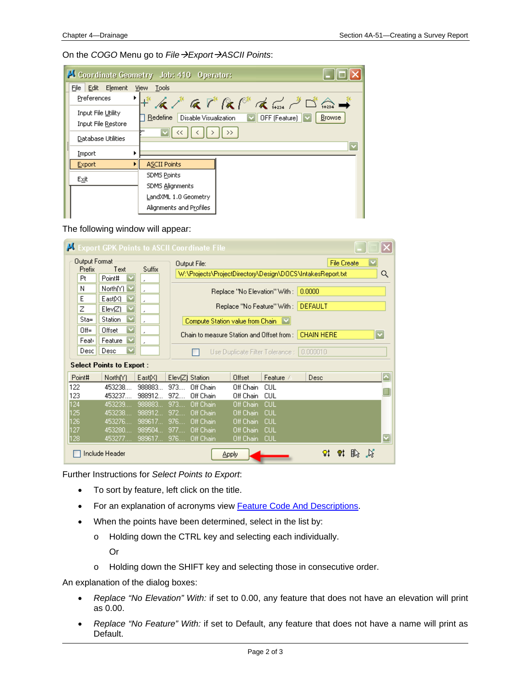On the *COGO* Menu go to *FileExportASCII Points*:

|                                          |  | Coordinate Geometry Job: 410 Operator:                                                                                        |  |  |  |  |  |
|------------------------------------------|--|-------------------------------------------------------------------------------------------------------------------------------|--|--|--|--|--|
| File Edit Element                        |  | View Tools                                                                                                                    |  |  |  |  |  |
| Preferences                              |  | トイノ G でにには do プロー<br><b>Browse</b><br>Redefine Disable Visualization<br>$\boxed{\smile}$ OFF (Feature) $\boxed{\smile}$<br>hц |  |  |  |  |  |
| Input File Utility<br>Input File Restore |  |                                                                                                                               |  |  |  |  |  |
| Database Utilities                       |  |                                                                                                                               |  |  |  |  |  |
| Import                                   |  |                                                                                                                               |  |  |  |  |  |
| Export                                   |  | <b>ASCII Points</b>                                                                                                           |  |  |  |  |  |
| Exit                                     |  | <b>SDMS Points</b>                                                                                                            |  |  |  |  |  |
|                                          |  | <b>SDMS Alignments</b>                                                                                                        |  |  |  |  |  |
|                                          |  | LandXML 1.0 Geometry                                                                                                          |  |  |  |  |  |
|                                          |  | Alignments and Profiles                                                                                                       |  |  |  |  |  |

The following window will appear:

|                                      |                                                           |                                                 | <b>Export GPK Points to ASCII Coordinate File</b>                                                                |                                                                                                    |                                                      |                          |                    | ×                        |  |  |
|--------------------------------------|-----------------------------------------------------------|-------------------------------------------------|------------------------------------------------------------------------------------------------------------------|----------------------------------------------------------------------------------------------------|------------------------------------------------------|--------------------------|--------------------|--------------------------|--|--|
| <b>Output Format</b><br>Prefix<br>Pt | Text<br>Point#                                            | Suffix<br>٠                                     | Output File:                                                                                                     | W:\Projects\ProjectDirectory\Design\DOCS\IntakesReport.txt                                         |                                                      |                          | <b>File Create</b> | Q                        |  |  |
| Ν<br>Ε<br>Z<br>$Sta=$                | North $[Y]$ $\boxed{\vee}$<br>East[X]<br>ElevZ<br>Station | $\lambda$<br>٠<br>$\lambda$<br>٠                |                                                                                                                  | Replace "No Elevation" With :<br>Replace "No Feature" With :<br>Compute Station value from Chain V |                                                      | 0.0000<br><b>DEFAULT</b> |                    |                          |  |  |
| $Off =$<br>Feat-<br>Desc             | Offset<br>Feature<br>$\overline{\mathbf{v}}$<br>Desc      | ٠<br>٠                                          | <b>CHAIN HERE</b><br>Chain to measure Station and Offset from :-<br>Use Duplicate Filter Tolerance :<br>0.000010 |                                                                                                    |                                                      |                          |                    |                          |  |  |
|                                      | <b>Select Points to Export:</b>                           |                                                 |                                                                                                                  |                                                                                                    |                                                      |                          |                    |                          |  |  |
| Point#                               | North[Y]                                                  | East[X]                                         | ElevZ<br>Station                                                                                                 | Offset                                                                                             | Feature /                                            | Desc                     |                    | $\overline{\phantom{0}}$ |  |  |
| 122<br>123                           | 453238.<br>453237                                         | 988883<br>988912.                               | 973<br>Off Chain<br>972<br>Off Chain                                                                             | Off Chain<br>Off Chain                                                                             | CUL.<br>CUL                                          |                          |                    |                          |  |  |
| 124<br>125<br>126<br>127<br>128      | 453239<br>453238<br>453276<br>453280<br>453277            | 988883<br>988912.<br>989617<br>989504<br>989617 | 973<br>Off Chain<br>972<br>Off Chain<br>976<br>Off Chain<br>977<br>Off Chain<br>976<br>Off Chain                 | Off Chain<br>Off Chain<br>Off Chain<br>Off Chain<br>Off Chain                                      | <b>CUL</b><br><b>CUL</b><br>CUL<br>CUL<br><b>CUL</b> |                          |                    |                          |  |  |
|                                      | Include Header                                            |                                                 |                                                                                                                  | <b>Apply</b>                                                                                       |                                                      |                          |                    |                          |  |  |

Further Instructions for *Select Points to Export*:

- To sort by feature, left click on the title.
- For an explanation of acronyms view Feature Code And Descriptions.
- When the points have been determined, select in the list by:
	- o Holding down the CTRL key and selecting each individually. Or
	- o Holding down the SHIFT key and selecting those in consecutive order.

An explanation of the dialog boxes:

- *Replace "No Elevation" With:* if set to 0.00, any feature that does not have an elevation will print as 0.00.
- *Replace "No Feature" With:* if set to Default, any feature that does not have a name will print as Default.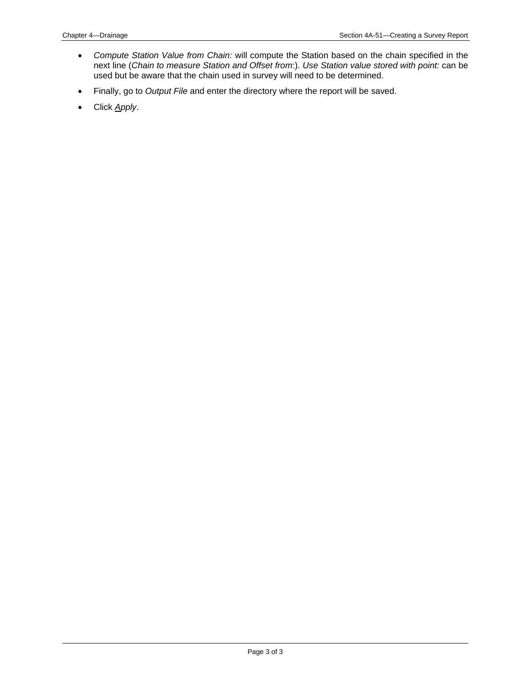- *Compute Station Value from Chain:* will compute the Station based on the chain specified in the next line (*Chain to measure Station and Offset from*:). *Use Station value stored with point:* can be used but be aware that the chain used in survey will need to be determined.
- Finally, go to *Output File* and enter the directory where the report will be saved.
- Click *Apply*.